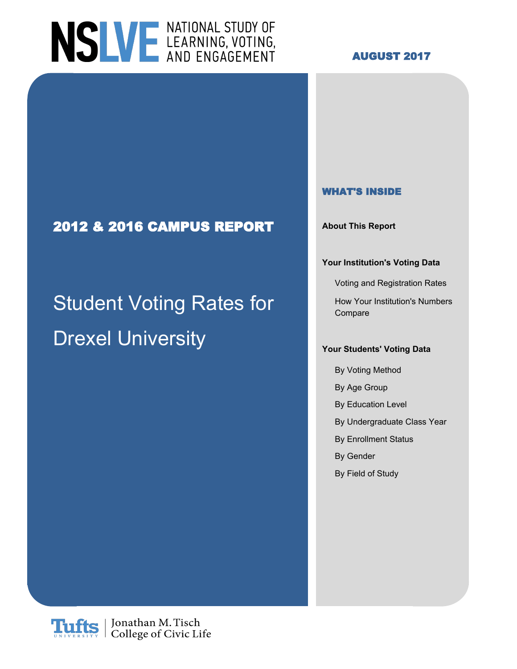

### **AUGUST 2017**

### **WHAT'S INSIDE**

**2012 & 2016 CAMPUS REPORT About This Report**

#### **Your Institution's Voting Data**

Voting and Registration Rates

Student Voting Rates for How Your Institution's Numbers Compare

### **Drexel University With**  $\frac{1}{2}$ *Your Students' Voting Data*

- By Voting Method
- By Age Group
- By Education Level
- By Undergraduate Class Year
- By Enrollment Status
- By Gender
- By Field of Study

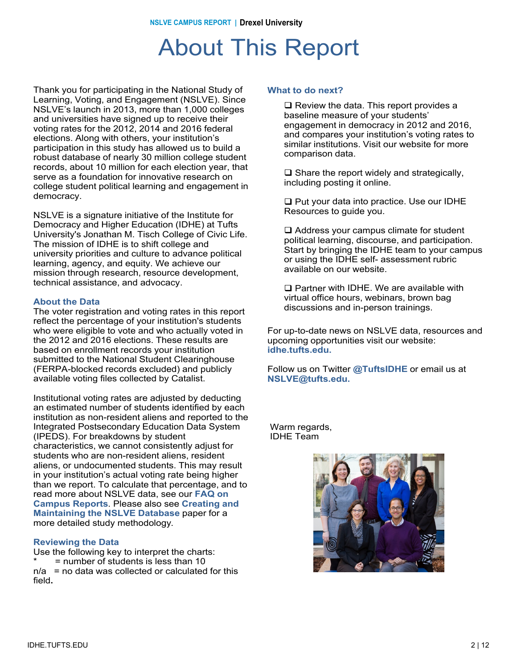### About This Report

Thank you for participating in the National Study of Learning, Voting, and Engagement (NSLVE). Since NSLVE's launch in 2013, more than 1,000 colleges and universities have signed up to receive their voting rates for the 2012, 2014 and 2016 federal elections. Along with others, your institution's participation in this study has allowed us to build a robust database of nearly 30 million college student records, about 10 million for each election year, that serve as a foundation for innovative research on college student political learning and engagement in democracy.

NSLVE is a signature initiative of the Institute for Democracy and Higher Education (IDHE) at Tufts University's Jonathan M. Tisch College of Civic Life. The mission of IDHE is to shift college and university priorities and culture to advance political learning, agency, and equity. We achieve our mission through research, resource development, technical assistance, and advocacy.

#### **About the Data**

The voter registration and voting rates in this report reflect the percentage of your institution's students who were eligible to vote and who actually voted in the 2012 and 2016 elections. These results are based on enrollment records your institution submitted to the National Student Clearinghouse (FERPA-blocked records excluded) and publicly available voting files collected by Catalist.

Institutional voting rates are adjusted by deducting an estimated number of students identified by each institution as non-resident aliens and reported to the Integrated Postsecondary Education Data System (IPEDS). For breakdowns by student characteristics, we cannot consistently adjust for students who are non-resident aliens, resident aliens, or undocumented students. This may result in your institution's actual voting rate being higher than we report. To calculate that percentage, and to read more about NSLVE data, see our **FAQ on Campus Reports**. Please also see **Creating and Maintaining the NSLVE Database** paper for a more detailed study methodology.

#### **Reviewing the Data**

Use the following key to interpret the charts:  $=$  number of students is less than 10  $n/a$  = no data was collected or calculated for this field**.**

#### **What to do next?**

 $\Box$  Review the data. This report provides a baseline measure of your students' engagement in democracy in 2012 and 2016, and compares your institution's voting rates to similar institutions. Visit our website for more comparison data.

 $\Box$  Share the report widely and strategically, including posting it online.

 $\Box$  Put your data into practice. Use our IDHE Resources to guide you.

 $\Box$  Address your campus climate for student political learning, discourse, and participation. Start by bringing the IDHE team to your campus or using the IDHE self- assessment rubric available on our website.

 $\square$  Partner with IDHE. We are available with virtual office hours, webinars, brown bag discussions and in-person trainings.

For up-to-date news on NSLVE data, resources and upcoming opportunities visit our website: **idhe.tufts.edu.**

Follow us on Twitter **@TuftsIDHE** or email us at **NSLVE@tufts.edu.**

Warm regards, IDHE Team

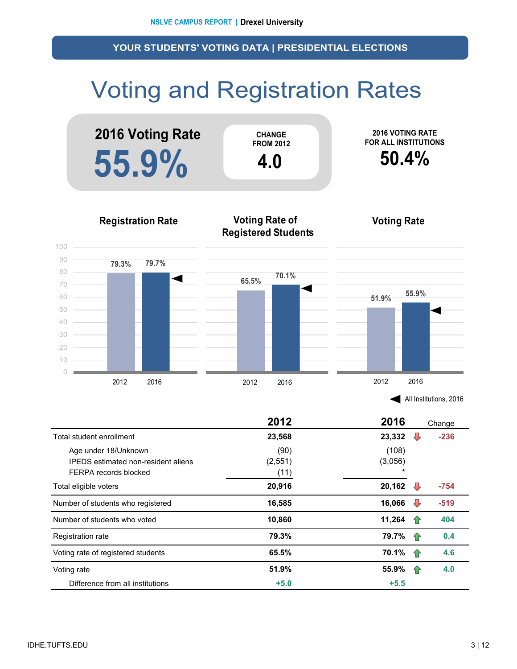# Voting and Registration Rates



|                                                                                             | 2012                    | 2016                        |     | Change |
|---------------------------------------------------------------------------------------------|-------------------------|-----------------------------|-----|--------|
| Total student enrollment                                                                    | 23,568                  | 23,332                      | ₩   | $-236$ |
| Age under 18/Unknown<br><b>IPEDS</b> estimated non-resident aliens<br>FERPA records blocked | (90)<br>(2,551)<br>(11) | (108)<br>(3,056)<br>$\star$ |     |        |
| Total eligible voters                                                                       | 20,916                  | 20,162                      | ₩   | $-754$ |
| Number of students who registered                                                           | 16,585                  | 16,066                      | ₩   | $-519$ |
| Number of students who voted                                                                | 10,860                  | 11,264                      |     | 404    |
| <b>Registration rate</b>                                                                    | 79.3%                   | 79.7%                       | -10 | 0.4    |
| Voting rate of registered students                                                          | 65.5%                   | 70.1%                       | 10  | 4.6    |
| Voting rate                                                                                 | 51.9%                   | 55.9%                       | 1P  | 4.0    |
| Difference from all institutions                                                            | $+5.0$                  | $+5.5$                      |     |        |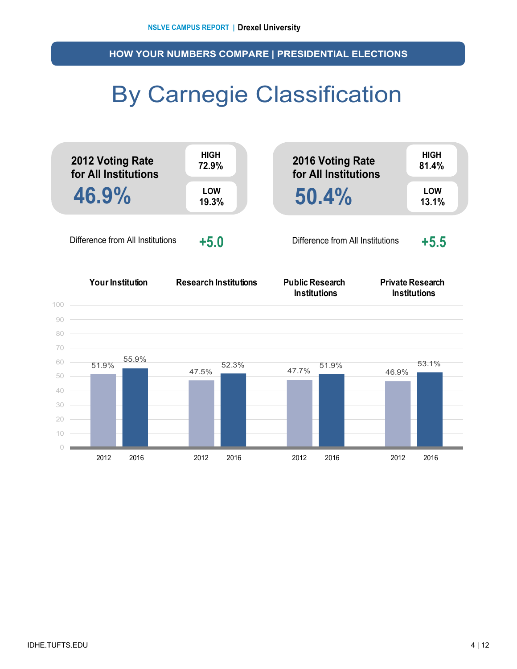**HOW YOUR NUMBERS COMPARE | PRESIDENTIAL ELECTIONS**

## By Carnegie Classification

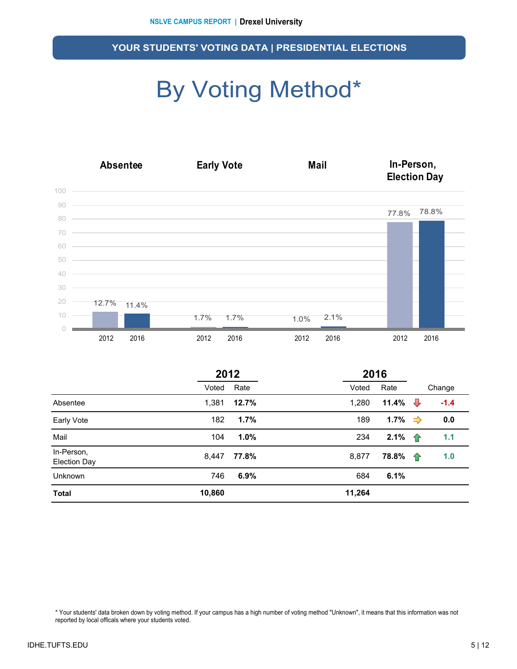# By Voting Method\*



|                                   | 2012   |       |        | 2016               |                |        |  |
|-----------------------------------|--------|-------|--------|--------------------|----------------|--------|--|
|                                   | Voted  | Rate  | Voted  | Rate               |                | Change |  |
| Absentee                          | 1,381  | 12.7% | 1,280  | 11.4%              | $\overline{v}$ | $-1.4$ |  |
| Early Vote                        | 182    | 1.7%  | 189    | 1.7% $\Rightarrow$ |                | 0.0    |  |
| Mail                              | 104    | 1.0%  | 234    | 2.1%               | ⇧              | 1.1    |  |
| In-Person,<br><b>Election Day</b> | 8,447  | 77.8% | 8,877  | 78.8%              | ⇑              | 1.0    |  |
| <b>Unknown</b>                    | 746    | 6.9%  | 684    | 6.1%               |                |        |  |
| <b>Total</b>                      | 10,860 |       | 11,264 |                    |                |        |  |

\* Your students' data broken down by voting method. If your campus has a high number of voting method "Unknown", it means that this information was not reported by local officals where your students voted.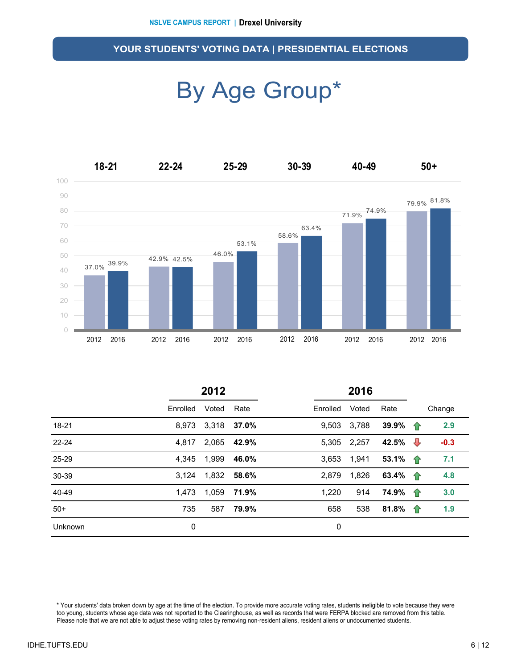### By Age Group\*



|           | 2012     |             |             |          |       |                    |                    |        |
|-----------|----------|-------------|-------------|----------|-------|--------------------|--------------------|--------|
|           | Enrolled | Voted       | Rate        | Enrolled | Voted | Rate               |                    | Change |
| 18-21     | 8.973    | 3,318       | 37.0%       | 9,503    | 3,788 | 39.9% $\uparrow$   |                    | 2.9    |
| $22 - 24$ | 4.817    | 2,065       | 42.9%       | 5.305    | 2,257 | 42.5% $\sqrt{ }$   |                    | $-0.3$ |
| 25-29     | 4.345    | 1,999       | 46.0%       | 3,653    | 1,941 | 53.1% 个            |                    | 7.1    |
| 30-39     | 3.124    | 1,832 58.6% |             | 2.879    | 1,826 | 63.4% <del>1</del> |                    | 4.8    |
| 40-49     | 1.473    |             | 1.059 71.9% | 1,220    | 914   | 74.9%              | $\hat{\mathbf{T}}$ | 3.0    |
| $50+$     | 735      | 587         | 79.9%       | 658      | 538   | 81.8% $\uparrow$   |                    | 1.9    |
| Unknown   | 0        |             |             | 0        |       |                    |                    |        |

\* Your students' data broken down by age at the time of the election. To provide more accurate voting rates, students ineligible to vote because they were too young, students whose age data was not reported to the Clearinghouse, as well as records that were FERPA blocked are removed from this table. Please note that we are not able to adjust these voting rates by removing non-resident aliens, resident aliens or undocumented students.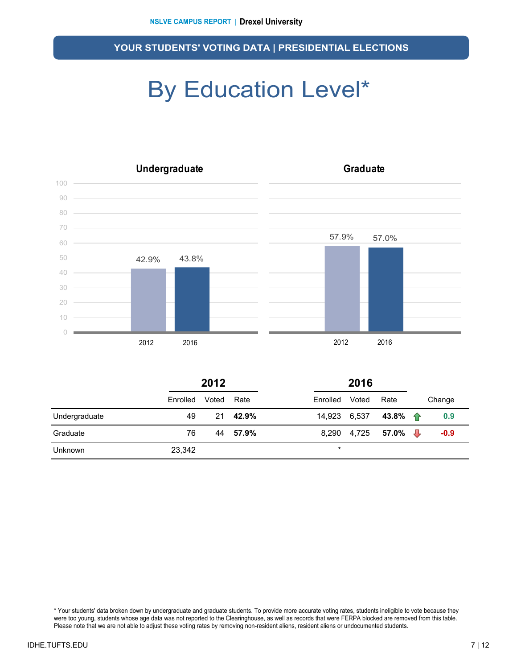# By Education Level\*



|                | 2012     |       |       | 2016         |       |                          |        |
|----------------|----------|-------|-------|--------------|-------|--------------------------|--------|
|                | Enrolled | Voted | Rate  | Enrolled     | Voted | Rate                     | Change |
| Undergraduate  | 49       | 21    | 42.9% | 14,923 6,537 |       | 43.8% $\uparrow$         | 0.9    |
| Graduate       | 76       | 44    | 57.9% |              |       | 8,290 4,725 <b>57.0%</b> | $-0.9$ |
| <b>Unknown</b> | 23,342   |       |       | $\star$      |       |                          |        |

\* Your students' data broken down by undergraduate and graduate students. To provide more accurate voting rates, students ineligible to vote because they were too young, students whose age data was not reported to the Clearinghouse, as well as records that were FERPA blocked are removed from this table. Please note that we are not able to adjust these voting rates by removing non-resident aliens, resident aliens or undocumented students.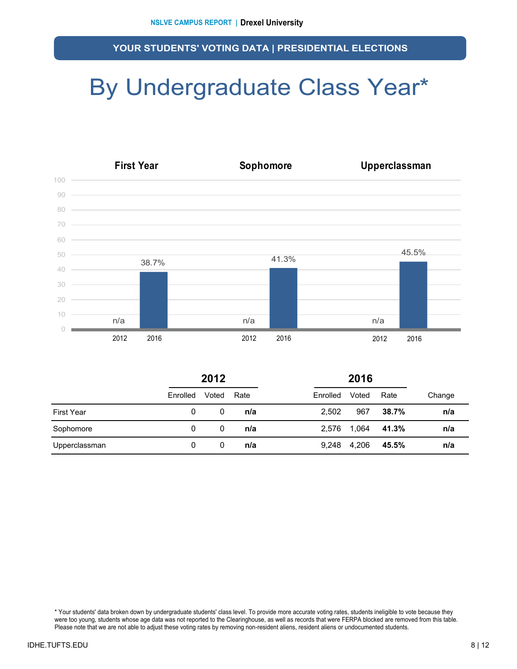## By Undergraduate Class Year\*



|                   | 2012     |       |      | 2016     |       |       |        |
|-------------------|----------|-------|------|----------|-------|-------|--------|
|                   | Enrolled | Voted | Rate | Enrolled | Voted | Rate  | Change |
| <b>First Year</b> | 0        | 0     | n/a  | 2.502    | 967   | 38.7% | n/a    |
| Sophomore         | 0        | 0     | n/a  | 2,576    | 1,064 | 41.3% | n/a    |
| Upperclassman     | 0        | 0     | n/a  | 9.248    | 4,206 | 45.5% | n/a    |

\* Your students' data broken down by undergraduate students' class level. To provide more accurate voting rates, students ineligible to vote because they were too young, students whose age data was not reported to the Clearinghouse, as well as records that were FERPA blocked are removed from this table. Please note that we are not able to adjust these voting rates by removing non-resident aliens, resident aliens or undocumented students.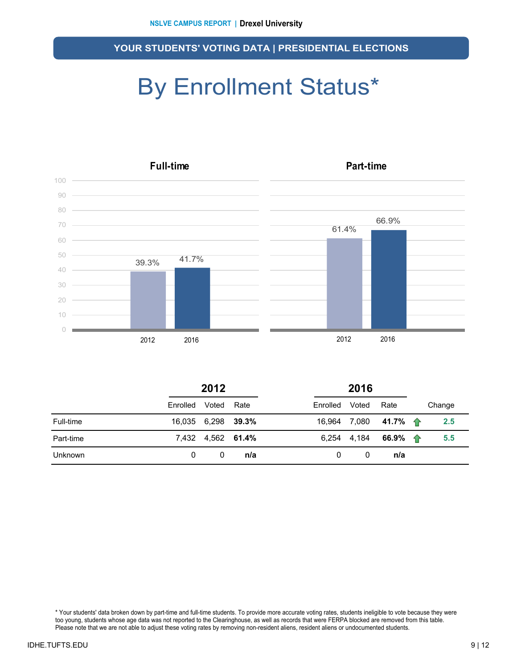# By Enrollment Status\*



|                | 2012               |                   |      | 2016     |       |                              |  |        |
|----------------|--------------------|-------------------|------|----------|-------|------------------------------|--|--------|
|                | Enrolled           | Voted             | Rate | Enrolled | Voted | Rate                         |  | Change |
| Full-time      | 16,035 6,298 39.3% |                   |      |          |       | 16,964 7,080 41.7% 个         |  | 2.5    |
| Part-time      |                    | 7,432 4,562 61.4% |      |          |       | 6,254 4,184 66.9% $\uparrow$ |  | 5.5    |
| <b>Unknown</b> | 0                  | 0                 | n/a  | 0        | 0     | n/a                          |  |        |

\* Your students' data broken down by part-time and full-time students. To provide more accurate voting rates, students ineligible to vote because they were too young, students whose age data was not reported to the Clearinghouse, as well as records that were FERPA blocked are removed from this table. Please note that we are not able to adjust these voting rates by removing non-resident aliens, resident aliens or undocumented students.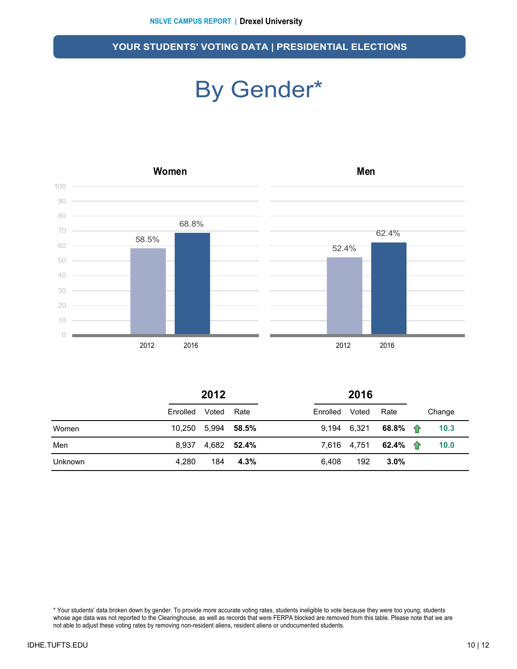### By Gender\*



|       | 2012                |                    |  |                | 2016 |                              |  |        |
|-------|---------------------|--------------------|--|----------------|------|------------------------------|--|--------|
|       | Enrolled Voted Rate |                    |  | Enrolled Voted |      | Rate                         |  | Change |
| Women |                     | 10,250 5,994 58.5% |  |                |      | 9,194 6,321 68.8% $\uparrow$ |  | 10.3   |
| Men   |                     | 8.937 4.682 52.4%  |  |                |      | 7,616 4,751 <b>62.4% 个</b>   |  | 10.0   |

Unknown 4,280 184 **4.3%** 6,408 192 **3.0%**

\* Your students' data broken down by gender. To provide more accurate voting rates, students ineligible to vote because they were too young, students whose age data was not reported to the Clearinghouse, as well as records that were FERPA blocked are removed from this table. Please note that we are not able to adjust these voting rates by removing non-resident aliens, resident aliens or undocumented students.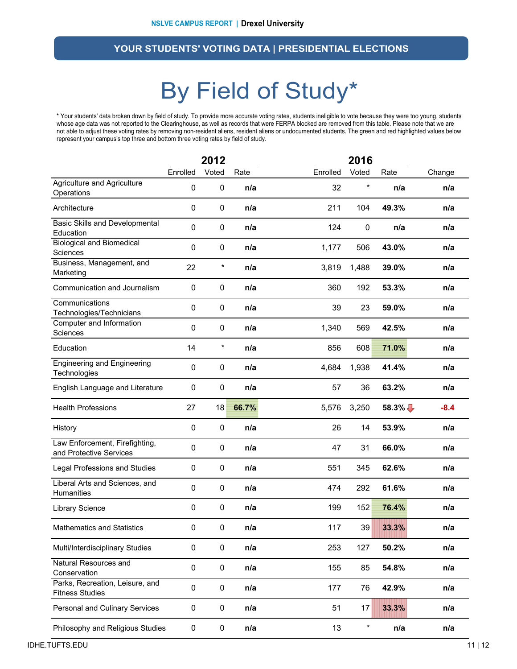### By Field of Study\*

\* Your students' data broken down by field of study. To provide more accurate voting rates, students ineligible to vote because they were too young, students whose age data was not reported to the Clearinghouse, as well as records that were FERPA blocked are removed from this table. Please note that we are not able to adjust these voting rates by removing non-resident aliens, resident aliens or undocumented students. The green and red highlighted values below represent your campus's top three and bottom three voting rates by field of study.

|                                                           | 2012             |           |       | 2016     |         |          |        |
|-----------------------------------------------------------|------------------|-----------|-------|----------|---------|----------|--------|
|                                                           | Enrolled         | Voted     | Rate  | Enrolled | Voted   | Rate     | Change |
| Agriculture and Agriculture<br>Operations                 | $\boldsymbol{0}$ | $\pmb{0}$ | n/a   | 32       | $\star$ | n/a      | n/a    |
| Architecture                                              | 0                | $\pmb{0}$ | n/a   | 211      | 104     | 49.3%    | n/a    |
| Basic Skills and Developmental<br>Education               | $\mathbf 0$      | $\pmb{0}$ | n/a   | 124      | 0       | n/a      | n/a    |
| <b>Biological and Biomedical</b><br><b>Sciences</b>       | $\mathbf 0$      | $\pmb{0}$ | n/a   | 1,177    | 506     | 43.0%    | n/a    |
| Business, Management, and<br>Marketing                    | 22               | $\ast$    | n/a   | 3,819    | 1,488   | 39.0%    | n/a    |
| Communication and Journalism                              | 0                | 0         | n/a   | 360      | 192     | 53.3%    | n/a    |
| Communications<br>Technologies/Technicians                | 0                | 0         | n/a   | 39       | 23      | 59.0%    | n/a    |
| Computer and Information<br>Sciences                      | 0                | $\pmb{0}$ | n/a   | 1,340    | 569     | 42.5%    | n/a    |
| Education                                                 | 14               | $\ast$    | n/a   | 856      | 608     | 71.0%    | n/a    |
| <b>Engineering and Engineering</b><br>Technologies        | $\boldsymbol{0}$ | $\pmb{0}$ | n/a   | 4,684    | 1,938   | 41.4%    | n/a    |
| English Language and Literature                           | $\boldsymbol{0}$ | $\pmb{0}$ | n/a   | 57       | 36      | 63.2%    | n/a    |
| <b>Health Professions</b>                                 | 27               | 18        | 66.7% | 5,576    | 3,250   | $58.3\%$ | $-8.4$ |
| History                                                   | $\mathbf 0$      | $\pmb{0}$ | n/a   | 26       | 14      | 53.9%    | n/a    |
| Law Enforcement, Firefighting,<br>and Protective Services | $\mathbf 0$      | $\pmb{0}$ | n/a   | 47       | 31      | 66.0%    | n/a    |
| Legal Professions and Studies                             | 0                | $\pmb{0}$ | n/a   | 551      | 345     | 62.6%    | n/a    |
| Liberal Arts and Sciences, and<br>Humanities              | $\boldsymbol{0}$ | $\pmb{0}$ | n/a   | 474      | 292     | 61.6%    | n/a    |
| Library Science                                           | 0                | 0         | n/a   | 199      | 152     | 76.4%    | n/a    |
| <b>Mathematics and Statistics</b>                         | 0                | 0         | n/a   | 117      | 39      | 33.3%    | n/a    |
| Multi/Interdisciplinary Studies                           | $\pmb{0}$        | $\pmb{0}$ | n/a   | 253      | 127     | 50.2%    | n/a    |
| Natural Resources and<br>Conservation                     | $\pmb{0}$        | $\pmb{0}$ | n/a   | 155      | 85      | 54.8%    | n/a    |
| Parks, Recreation, Leisure, and<br><b>Fitness Studies</b> | $\pmb{0}$        | $\pmb{0}$ | n/a   | 177      | 76      | 42.9%    | n/a    |
| Personal and Culinary Services                            | $\mathbf 0$      | $\pmb{0}$ | n/a   | 51       | 17      | 33.3%    | n/a    |
| Philosophy and Religious Studies                          | $\pmb{0}$        | 0         | n/a   | 13       | $\star$ | n/a      | n/a    |